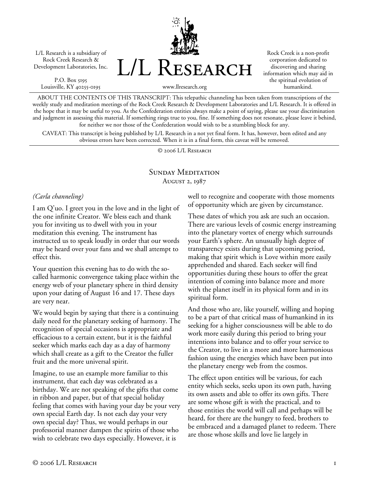L/L Research is a subsidiary of Rock Creek Research & Development Laboratories, Inc.

P.O. Box 5195 Louisville, KY 40255-0195 L/L Research

Rock Creek is a non-profit corporation dedicated to discovering and sharing information which may aid in the spiritual evolution of humankind.

www.llresearch.org

ABOUT THE CONTENTS OF THIS TRANSCRIPT: This telepathic channeling has been taken from transcriptions of the weekly study and meditation meetings of the Rock Creek Research & Development Laboratories and L/L Research. It is offered in the hope that it may be useful to you. As the Confederation entities always make a point of saying, please use your discrimination and judgment in assessing this material. If something rings true to you, fine. If something does not resonate, please leave it behind, for neither we nor those of the Confederation would wish to be a stumbling block for any.

CAVEAT: This transcript is being published by L/L Research in a not yet final form. It has, however, been edited and any obvious errors have been corrected. When it is in a final form, this caveat will be removed.

© 2006 L/L Research

### SUNDAY MEDITATION August 2, 1987

### *(Carla channeling)*

I am Q'uo. I greet you in the love and in the light of the one infinite Creator. We bless each and thank you for inviting us to dwell with you in your meditation this evening. The instrument has instructed us to speak loudly in order that our words may be heard over your fans and we shall attempt to effect this.

Your question this evening has to do with the socalled harmonic convergence taking place within the energy web of your planetary sphere in third density upon your dating of August 16 and 17. These days are very near.

We would begin by saying that there is a continuing daily need for the planetary seeking of harmony. The recognition of special occasions is appropriate and efficacious to a certain extent, but it is the faithful seeker which marks each day as a day of harmony which shall create as a gift to the Creator the fuller fruit and the more universal spirit.

Imagine, to use an example more familiar to this instrument, that each day was celebrated as a birthday. We are not speaking of the gifts that come in ribbon and paper, but of that special holiday feeling that comes with having your day be your very own special Earth day. Is not each day your very own special day? Thus, we would perhaps in our professorial manner dampen the spirits of those who wish to celebrate two days especially. However, it is

well to recognize and cooperate with those moments of opportunity which are given by circumstance.

These dates of which you ask are such an occasion. There are various levels of cosmic energy instreaming into the planetary vortex of energy which surrounds your Earth's sphere. An unusually high degree of transparency exists during that upcoming period, making that spirit which is Love within more easily apprehended and shared. Each seeker will find opportunities during these hours to offer the great intention of coming into balance more and more with the planet itself in its physical form and in its spiritual form.

And those who are, like yourself, willing and hoping to be a part of that critical mass of humankind in its seeking for a higher consciousness will be able to do work more easily during this period to bring your intentions into balance and to offer your service to the Creator, to live in a more and more harmonious fashion using the energies which have been put into the planetary energy web from the cosmos.

The effect upon entities will be various, for each entity which seeks, seeks upon its own path, having its own assets and able to offer its own gifts. There are some whose gift is with the practical, and to those entities the world will call and perhaps will be heard, for there are the hungry to feed, brothers to be embraced and a damaged planet to redeem. There are those whose skills and love lie largely in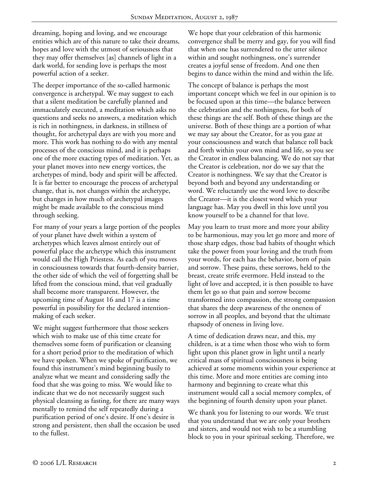dreaming, hoping and loving, and we encourage entities which are of this nature to take their dreams, hopes and love with the utmost of seriousness that they may offer themselves [as] channels of light in a dark world, for sending love is perhaps the most powerful action of a seeker.

The deeper importance of the so-called harmonic convergence is archetypal. We may suggest to each that a silent meditation be carefully planned and immaculately executed, a meditation which asks no questions and seeks no answers, a meditation which is rich in nothingness, in darkness, in stillness of thought, for archetypal days are with you more and more. This work has nothing to do with any mental processes of the conscious mind, and it is perhaps one of the more exacting types of meditation. Yet, as your planet moves into new energy vortices, the archetypes of mind, body and spirit will be affected. It is far better to encourage the process of archetypal change, that is, not changes within the archetype, but changes in how much of archetypal images might be made available to the conscious mind through seeking.

For many of your years a large portion of the peoples of your planet have dwelt within a system of archetypes which leaves almost entirely out of powerful place the archetype which this instrument would call the High Priestess. As each of you moves in consciousness towards that fourth-density barrier, the other side of which the veil of forgetting shall be lifted from the conscious mind, that veil gradually shall become more transparent. However, the upcoming time of August 16 and 17 is a time powerful in possibility for the declared intentionmaking of each seeker.

We might suggest furthermore that those seekers which wish to make use of this time create for themselves some form of purification or cleansing for a short period prior to the meditation of which we have spoken. When we spoke of purification, we found this instrument's mind beginning busily to analyze what we meant and considering sadly the food that she was going to miss. We would like to indicate that we do not necessarily suggest such physical cleansing as fasting, for there are many ways mentally to remind the self repeatedly during a purification period of one's desire. If one's desire is strong and persistent, then shall the occasion be used to the fullest.

We hope that your celebration of this harmonic convergence shall be merry and gay, for you will find that when one has surrendered to the utter silence within and sought nothingness, one's surrender creates a joyful sense of freedom. And one then begins to dance within the mind and within the life.

The concept of balance is perhaps the most important concept which we feel in our opinion is to be focused upon at this time—the balance between the celebration and the nothingness, for both of these things are the self. Both of these things are the universe. Both of these things are a portion of what we may say about the Creator, for as you gaze at your consciousness and watch that balance roll back and forth within your own mind and life, so you see the Creator in endless balancing. We do not say that the Creator is celebration, nor do we say that the Creator is nothingness. We say that the Creator is beyond both and beyond any understanding or word. We reluctantly use the word love to describe the Creator—it is the closest word which your language has. May you dwell in this love until you know yourself to be a channel for that love.

May you learn to trust more and more your ability to be harmonious, may you let go more and more of those sharp edges, those bad habits of thought which take the power from your loving and the truth from your words, for each has the behavior, born of pain and sorrow. These pains, these sorrows, held to the breast, create strife evermore. Held instead to the light of love and accepted, it is then possible to have them let go so that pain and sorrow become transformed into compassion, the strong compassion that shares the deep awareness of the oneness of sorrow in all peoples, and beyond that the ultimate rhapsody of oneness in living love.

A time of dedication draws near, and this, my children, is at a time when those who wish to form light upon this planet grow in light until a nearly critical mass of spiritual consciousness is being achieved at some moments within your experience at this time. More and more entities are coming into harmony and beginning to create what this instrument would call a social memory complex, of the beginning of fourth density upon your planet.

We thank you for listening to our words. We trust that you understand that we are only your brothers and sisters, and would not wish to be a stumbling block to you in your spiritual seeking. Therefore, we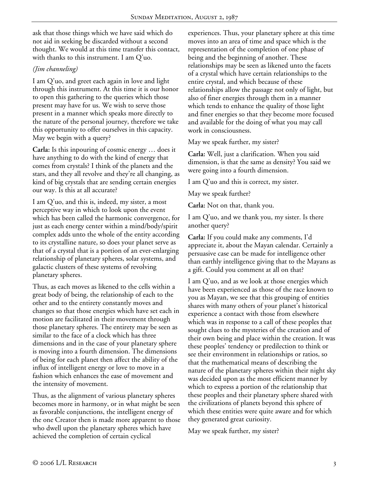ask that those things which we have said which do not aid in seeking be discarded without a second thought. We would at this time transfer this contact, with thanks to this instrument. I am Q'uo.

# *(Jim channeling)*

I am Q'uo, and greet each again in love and light through this instrument. At this time it is our honor to open this gathering to the queries which those present may have for us. We wish to serve those present in a manner which speaks more directly to the nature of the personal journey, therefore we take this opportunity to offer ourselves in this capacity. May we begin with a query?

**Carla:** Is this inpouring of cosmic energy … does it have anything to do with the kind of energy that comes from crystals? I think of the planets and the stars, and they all revolve and they're all changing, as kind of big crystals that are sending certain energies our way. Is this at all accurate?

I am Q'uo, and this is, indeed, my sister, a most perceptive way in which to look upon the event which has been called the harmonic convergence, for just as each energy center within a mind/body/spirit complex adds unto the whole of the entity according to its crystalline nature, so does your planet serve as that of a crystal that is a portion of an ever-enlarging relationship of planetary spheres, solar systems, and galactic clusters of these systems of revolving planetary spheres.

Thus, as each moves as likened to the cells within a great body of being, the relationship of each to the other and to the entirety constantly moves and changes so that those energies which have set each in motion are facilitated in their movement through those planetary spheres. The entirety may be seen as similar to the face of a clock which has three dimensions and in the case of your planetary sphere is moving into a fourth dimension. The dimensions of being for each planet then affect the ability of the influx of intelligent energy or love to move in a fashion which enhances the ease of movement and the intensity of movement.

Thus, as the alignment of various planetary spheres becomes more in harmony, or in what might be seen as favorable conjunctions, the intelligent energy of the one Creator then is made more apparent to those who dwell upon the planetary spheres which have achieved the completion of certain cyclical

experiences. Thus, your planetary sphere at this time moves into an area of time and space which is the representation of the completion of one phase of being and the beginning of another. These relationships may be seen as likened unto the facets of a crystal which have certain relationships to the entire crystal, and which because of these relationships allow the passage not only of light, but also of finer energies through them in a manner which tends to enhance the quality of those light and finer energies so that they become more focused and available for the doing of what you may call work in consciousness.

May we speak further, my sister?

**Carla:** Well, just a clarification. When you said dimension, is that the same as density? You said we were going into a fourth dimension.

I am Q'uo and this is correct, my sister.

May we speak further?

**Carla:** Not on that, thank you.

I am Q'uo, and we thank you, my sister. Is there another query?

**Carla:** If you could make any comments, I'd appreciate it, about the Mayan calendar. Certainly a persuasive case can be made for intelligence other than earthly intelligence giving that to the Mayans as a gift. Could you comment at all on that?

I am Q'uo, and as we look at those energies which have been experienced as those of the race known to you as Mayan, we see that this grouping of entities shares with many others of your planet's historical experience a contact with those from elsewhere which was in response to a call of these peoples that sought clues to the mysteries of the creation and of their own being and place within the creation. It was these peoples' tendency or predilection to think or see their environment in relationships or ratios, so that the mathematical means of describing the nature of the planetary spheres within their night sky was decided upon as the most efficient manner by which to express a portion of the relationship that these peoples and their planetary sphere shared with the civilizations of planets beyond this sphere of which these entities were quite aware and for which they generated great curiosity.

May we speak further, my sister?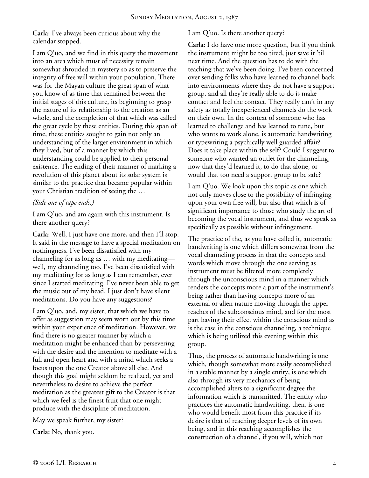**Carla:** I've always been curious about why the calendar stopped.

I am Q'uo, and we find in this query the movement into an area which must of necessity remain somewhat shrouded in mystery so as to preserve the integrity of free will within your population. There was for the Mayan culture the great span of what you know of as time that remained between the initial stages of this culture, its beginning to grasp the nature of its relationship to the creation as an whole, and the completion of that which was called the great cycle by these entities. During this span of time, these entities sought to gain not only an understanding of the larger environment in which they lived, but of a manner by which this understanding could be applied to their personal existence. The ending of their manner of marking a revolution of this planet about its solar system is similar to the practice that became popular within your Christian tradition of seeing the …

### *(Side one of tape ends.)*

I am Q'uo, and am again with this instrument. Is there another query?

**Carla:** Well, I just have one more, and then I'll stop. It said in the message to have a special meditation on nothingness. I've been dissatisfied with my channeling for as long as … with my meditating well, my channeling too. I've been dissatisfied with my meditating for as long as I can remember, ever since I started meditating. I've never been able to get the music out of my head. I just don't have silent meditations. Do you have any suggestions?

I am Q'uo, and, my sister, that which we have to offer as suggestion may seem worn out by this time within your experience of meditation. However, we find there is no greater manner by which a meditation might be enhanced than by persevering with the desire and the intention to meditate with a full and open heart and with a mind which seeks a focus upon the one Creator above all else. And though this goal might seldom be realized, yet and nevertheless to desire to achieve the perfect meditation as the greatest gift to the Creator is that which we feel is the finest fruit that one might produce with the discipline of meditation.

May we speak further, my sister?

**Carla:** No, thank you.

# I am Q'uo. Is there another query?

**Carla:** I do have one more question, but if you think the instrument might be too tired, just save it 'til next time. And the question has to do with the teaching that we've been doing. I've been concerned over sending folks who have learned to channel back into environments where they do not have a support group, and all they're really able to do is make contact and feel the contact. They really can't in any safety as totally inexperienced channels do the work on their own. In the context of someone who has learned to challenge and has learned to tune, but who wants to work alone, is automatic handwriting or typewriting a psychically well guarded affair? Does it take place within the self? Could I suggest to someone who wanted an outlet for the channeling, now that they'd learned it, to do that alone, or would that too need a support group to be safe?

I am Q'uo. We look upon this topic as one which not only moves close to the possibility of infringing upon your own free will, but also that which is of significant importance to those who study the art of becoming the vocal instrument, and thus we speak as specifically as possible without infringement.

The practice of the, as you have called it, automatic handwriting is one which differs somewhat from the vocal channeling process in that the concepts and words which move through the one serving as instrument must be filtered more completely through the unconscious mind in a manner which renders the concepts more a part of the instrument's being rather than having concepts more of an external or alien nature moving through the upper reaches of the subconscious mind, and for the most part having their effect within the conscious mind as is the case in the conscious channeling, a technique which is being utilized this evening within this group.

Thus, the process of automatic handwriting is one which, though somewhat more easily accomplished in a stable manner by a single entity, is one which also through its very mechanics of being accomplished alters to a significant degree the information which is transmitted. The entity who practices the automatic handwriting, then, is one who would benefit most from this practice if its desire is that of reaching deeper levels of its own being, and in this reaching accomplishes the construction of a channel, if you will, which not